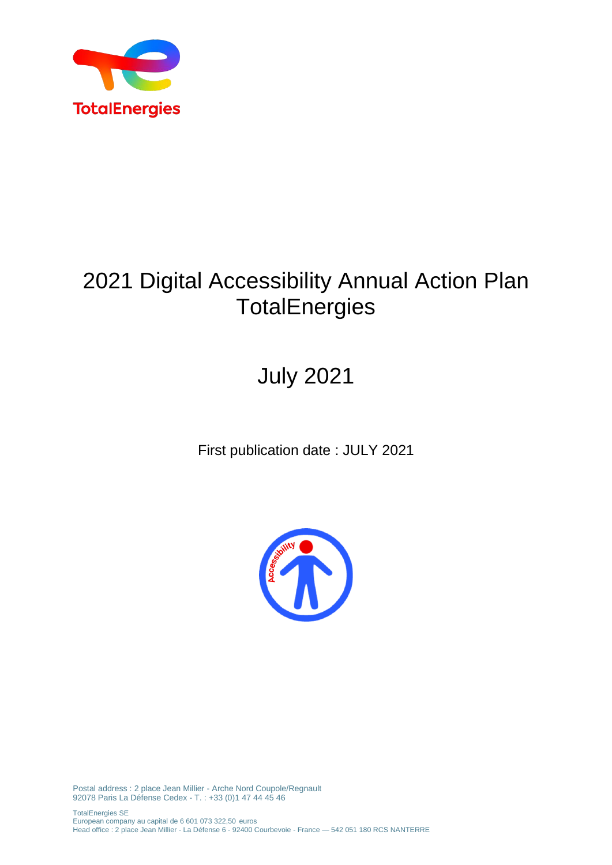

## 2021 Digital Accessibility Annual Action Plan **TotalEnergies**

# July 2021

First publication date : JULY 2021



Postal address : 2 place Jean Millier - Arche Nord Coupole/Regnault 92078 Paris La Défense Cedex - T. : +33 (0)1 47 44 45 46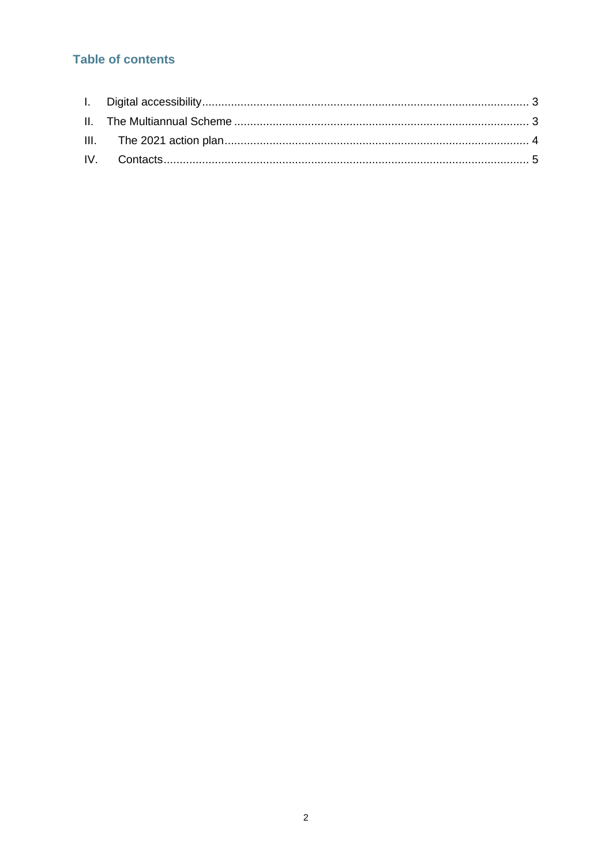## **Table of contents**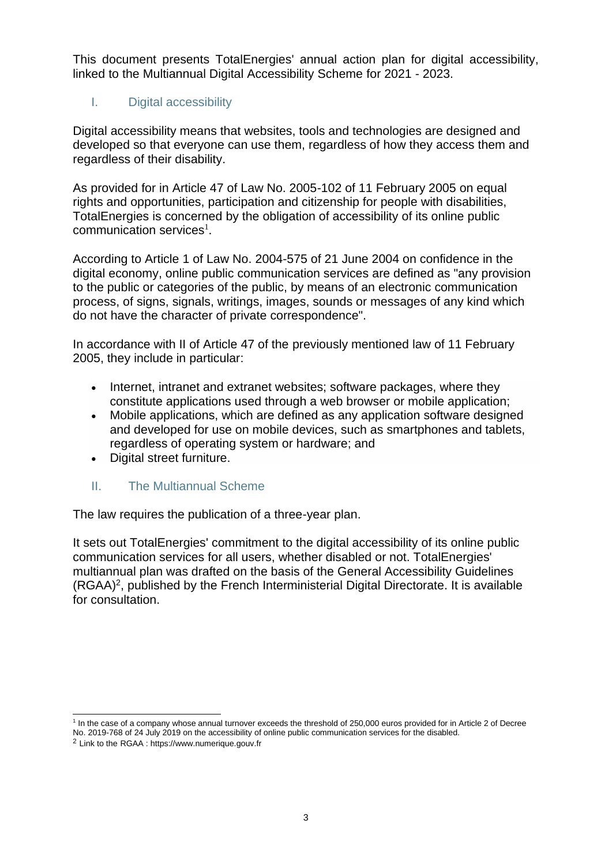This document presents TotalEnergies' annual action plan for digital accessibility, linked to the Multiannual Digital Accessibility Scheme for 2021 - 2023.

#### <span id="page-2-0"></span>I. Digital accessibility

Digital accessibility means that websites, tools and technologies are designed and developed so that everyone can use them, regardless of how they access them and regardless of their disability.

As provided for in Article 47 of Law No. 2005-102 of 11 February 2005 on equal rights and opportunities, participation and citizenship for people with disabilities, TotalEnergies is concerned by the obligation of accessibility of its online public communication services<sup>1</sup>.

According to Article 1 of Law No. 2004-575 of 21 June 2004 on confidence in the digital economy, online public communication services are defined as "any provision to the public or categories of the public, by means of an electronic communication process, of signs, signals, writings, images, sounds or messages of any kind which do not have the character of private correspondence".

In accordance with II of Article 47 of the previously mentioned law of 11 February 2005, they include in particular:

- Internet, intranet and extranet websites; software packages, where they constitute applications used through a web browser or mobile application;
- Mobile applications, which are defined as any application software designed and developed for use on mobile devices, such as smartphones and tablets, regardless of operating system or hardware; and
- Digital street furniture.

#### <span id="page-2-1"></span>II. The Multiannual Scheme

The law requires the publication of a three-year plan.

It sets out TotalEnergies' commitment to the digital accessibility of its online public communication services for all users, whether disabled or not. TotalEnergies' multiannual plan was drafted on the basis of the General Accessibility Guidelines (RGAA)<sup>2</sup> , published by the French Interministerial Digital Directorate. It is available for consultation.

<sup>1</sup> In the case of a company whose annual turnover exceeds the threshold of 250,000 euros provided for in Article 2 of Decree

No. 2019-768 of 24 July 2019 on the accessibility of online public communication services for the disabled.

<sup>2</sup> Link to the RGAA : https://www.numerique.gouv.fr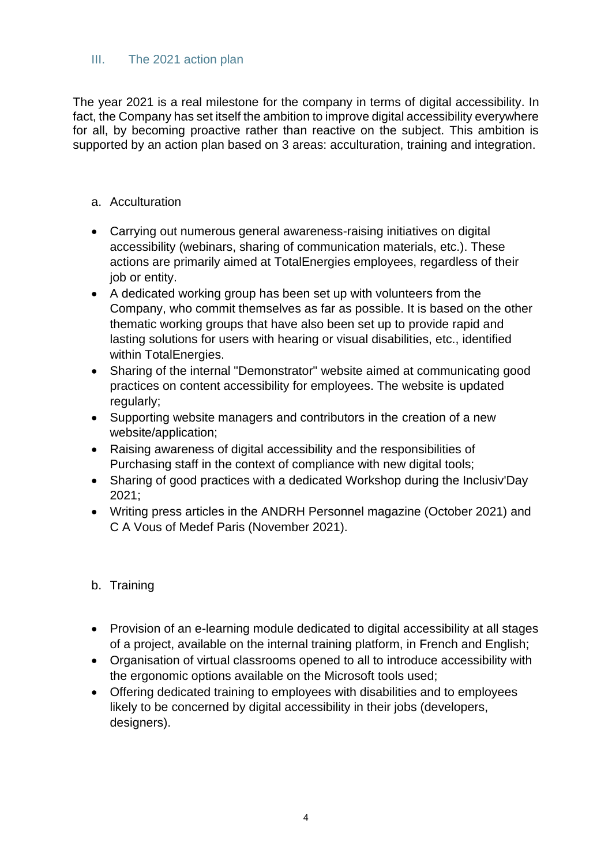#### <span id="page-3-0"></span>III. The 2021 action plan

The year 2021 is a real milestone for the company in terms of digital accessibility. In fact, the Company has set itself the ambition to improve digital accessibility everywhere for all, by becoming proactive rather than reactive on the subject. This ambition is supported by an action plan based on 3 areas: acculturation, training and integration.

- a. Acculturation
- Carrying out numerous general awareness-raising initiatives on digital accessibility (webinars, sharing of communication materials, etc.). These actions are primarily aimed at TotalEnergies employees, regardless of their iob or entity.
- A dedicated working group has been set up with volunteers from the Company, who commit themselves as far as possible. It is based on the other thematic working groups that have also been set up to provide rapid and lasting solutions for users with hearing or visual disabilities, etc., identified within TotalEnergies.
- Sharing of the internal "Demonstrator" website aimed at communicating good practices on content accessibility for employees. The website is updated regularly;
- Supporting website managers and contributors in the creation of a new website/application;
- Raising awareness of digital accessibility and the responsibilities of Purchasing staff in the context of compliance with new digital tools;
- Sharing of good practices with a dedicated Workshop during the Inclusiv'Day 2021;
- Writing press articles in the ANDRH Personnel magazine (October 2021) and C A Vous of Medef Paris (November 2021).

#### b. Training

- Provision of an e-learning module dedicated to digital accessibility at all stages of a project, available on the internal training platform, in French and English;
- Organisation of virtual classrooms opened to all to introduce accessibility with the ergonomic options available on the Microsoft tools used;
- Offering dedicated training to employees with disabilities and to employees likely to be concerned by digital accessibility in their jobs (developers, designers).